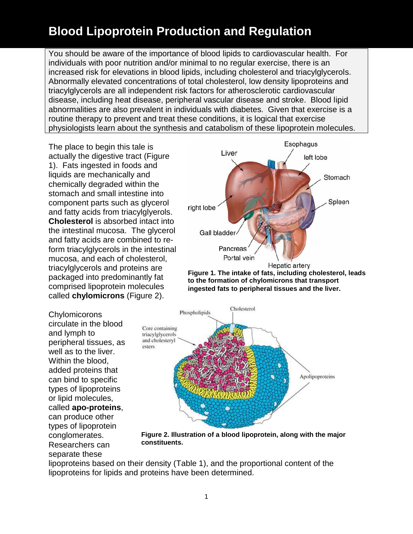You should be aware of the importance of blood lipids to cardiovascular health. For individuals with poor nutrition and/or minimal to no regular exercise, there is an increased risk for elevations in blood lipids, including cholesterol and triacylglycerols. Abnormally elevated concentrations of total cholesterol, low density lipoproteins and triacylglycerols are all independent risk factors for atherosclerotic cardiovascular disease, including heat disease, peripheral vascular disease and stroke. Blood lipid abnormalities are also prevalent in individuals with diabetes. Given that exercise is a routine therapy to prevent and treat these conditions, it is logical that exercise physiologists learn about the synthesis and catabolism of these lipoprotein molecules.

The place to begin this tale is actually the digestive tract (Figure 1). Fats ingested in foods and liquids are mechanically and chemically degraded within the stomach and small intestine into component parts such as glycerol and fatty acids from triacylglyerols. **Cholesterol** is absorbed intact into the intestinal mucosa. The glycerol and fatty acids are combined to reform triacylglycerols in the intestinal mucosa, and each of cholesterol, triacylglycerols and proteins are packaged into predominantly fat comprised lipoprotein molecules called **chylomicrons** (Figure 2).

**Chylomicorons** circulate in the blood and lymph to peripheral tissues, as well as to the liver. Within the blood, added proteins that can bind to specific types of lipoproteins or lipid molecules, called **apo-proteins**, can produce other types of lipoprotein conglomerates. Researchers can separate these



**Figure 1. The intake of fats, including cholesterol, leads to the formation of chylomicrons that transport ingested fats to peripheral tissues and the liver.**



**Figure 2. Illustration of a blood lipoprotein, along with the major constituents.** 

lipoproteins based on their density (Table 1), and the proportional content of the lipoproteins for lipids and proteins have been determined.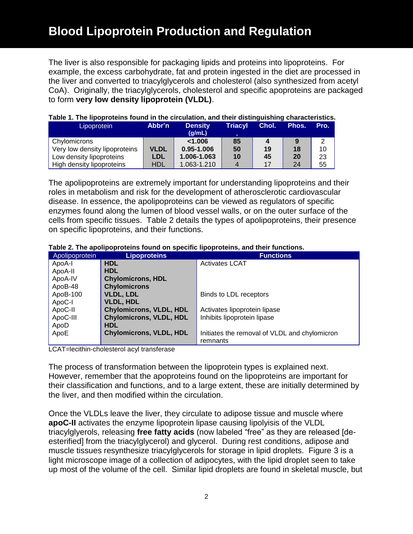The liver is also responsible for packaging lipids and proteins into lipoproteins. For example, the excess carbohydrate, fat and protein ingested in the diet are processed in the liver and converted to triacylglycerols and cholesterol (also synthesized from acetyl CoA). Originally, the triacylglycerols, cholesterol and specific apoproteins are packaged to form **very low density lipoprotein (VLDL)**.

| Lipoprotein                   | Abbr'n      | <b>Density</b><br>(q/mL) | <b>Triacyl</b> | Chol. | Phos. | Pro. |
|-------------------------------|-------------|--------------------------|----------------|-------|-------|------|
| Chylomicrons                  |             | < 1.006                  | 85             |       | 9     | 2    |
| Very low density lipoproteins | <b>VLDL</b> | 0.95-1.006               | 50             | 19    | 18    | 10   |
| Low density lipoproteins      | LDL         | 1.006-1.063              | 10             | 45    | 20    | 23   |
| High density lipoproteins     | <b>HDL</b>  | 1.063-1.210              |                |       | 24    | 55   |

#### **Table 1. The lipoproteins found in the circulation, and their distinguishing characteristics.**

The apolipoproteins are extremely important for understanding lipoproteins and their roles in metabolism and risk for the development of atherosclerotic cardiovascular disease. In essence, the apolipoproteins can be viewed as regulators of specific enzymes found along the lumen of blood vessel walls, or on the outer surface of the cells from specific tissues. Table 2 details the types of apolipoproteins, their presence on specific lipoproteins, and their functions.

| Table 2. The apolipoproteins found on specific lipoproteins, and their functions. |
|-----------------------------------------------------------------------------------|
|-----------------------------------------------------------------------------------|

| Apolipoprotein | <b>Lipoproteins</b>            | <b>Functions</b>                              |  |
|----------------|--------------------------------|-----------------------------------------------|--|
| ApoA-I         | <b>HDL</b>                     | <b>Activates LCAT</b>                         |  |
| ApoA-II        | <b>HDL</b>                     |                                               |  |
| ApoA-IV        | <b>Chylomicrons, HDL</b>       |                                               |  |
| ApoB-48        | <b>Chylomicrons</b>            |                                               |  |
| ApoB-100       | <b>VLDL, LDL</b>               | Binds to LDL receptors                        |  |
| ApoC-I         | <b>VLDL, HDL</b>               |                                               |  |
| ApoC-II        | <b>Chylomicrons, VLDL, HDL</b> | Activates lipoprotein lipase                  |  |
| ApoC-III       | <b>Chylomicrons, VLDL, HDL</b> | Inhibits lipoprotein lipase                   |  |
| ApoD           | <b>HDL</b>                     |                                               |  |
| ApoE           | <b>Chylomicrons, VLDL, HDL</b> | Initiates the removal of VLDL and chylomicron |  |
|                |                                | remnants                                      |  |

LCAT=lecithin-cholesterol acyl transferase

The process of transformation between the lipoprotein types is explained next. However, remember that the apoproteins found on the lipoproteins are important for their classification and functions, and to a large extent, these are initially determined by the liver, and then modified within the circulation.

Once the VLDLs leave the liver, they circulate to adipose tissue and muscle where **apoC-II** activates the enzyme lipoprotein lipase causing lipolyisis of the VLDL triacylglyerols, releasing **free fatty acids** (now labeled "free" as they are released [deesterified] from the triacylglycerol) and glycerol. During rest conditions, adipose and muscle tissues resynthesize triacylglycerols for storage in lipid droplets. Figure 3 is a light microscope image of a collection of adipocytes, with the lipid droplet seen to take up most of the volume of the cell. Similar lipid droplets are found in skeletal muscle, but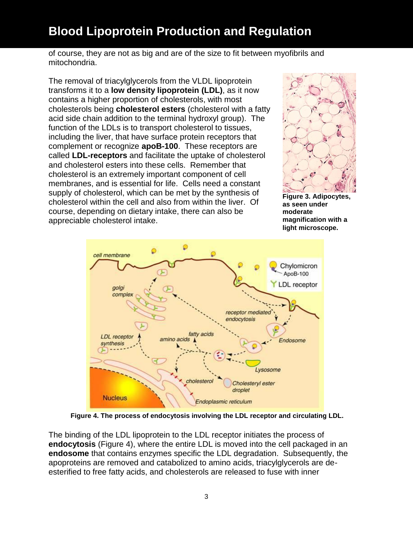of course, they are not as big and are of the size to fit between myofibrils and mitochondria.

The removal of triacylglycerols from the VLDL lipoprotein transforms it to a **low density lipoprotein (LDL)**, as it now contains a higher proportion of cholesterols, with most cholesterols being **cholesterol esters** (cholesterol with a fatty acid side chain addition to the terminal hydroxyl group). The function of the LDLs is to transport cholesterol to tissues, including the liver, that have surface protein receptors that complement or recognize **apoB-100**. These receptors are called **LDL-receptors** and facilitate the uptake of cholesterol and cholesterol esters into these cells. Remember that cholesterol is an extremely important component of cell membranes, and is essential for life. Cells need a constant supply of cholesterol, which can be met by the synthesis of cholesterol within the cell and also from within the liver. Of course, depending on dietary intake, there can also be appreciable cholesterol intake.



**Figure 3. Adipocytes, as seen under moderate magnification with a light microscope.**



 **Figure 4. The process of endocytosis involving the LDL receptor and circulating LDL.**

The binding of the LDL lipoprotein to the LDL receptor initiates the process of **endocytosis** (Figure 4), where the entire LDL is moved into the cell packaged in an **endosome** that contains enzymes specific the LDL degradation. Subsequently, the apoproteins are removed and catabolized to amino acids, triacylglycerols are deesterified to free fatty acids, and cholesterols are released to fuse with inner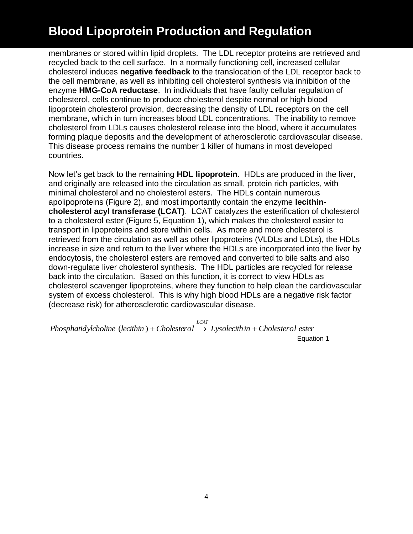membranes or stored within lipid droplets. The LDL receptor proteins are retrieved and recycled back to the cell surface. In a normally functioning cell, increased cellular cholesterol induces **negative feedback** to the translocation of the LDL receptor back to the cell membrane, as well as inhibiting cell cholesterol synthesis via inhibition of the enzyme **HMG-CoA reductase**. In individuals that have faulty cellular regulation of cholesterol, cells continue to produce cholesterol despite normal or high blood lipoprotein cholesterol provision, decreasing the density of LDL receptors on the cell membrane, which in turn increases blood LDL concentrations. The inability to remove cholesterol from LDLs causes cholesterol release into the blood, where it accumulates forming plaque deposits and the development of atherosclerotic cardiovascular disease. This disease process remains the number 1 killer of humans in most developed countries.

Now let's get back to the remaining **HDL lipoprotein**. HDLs are produced in the liver, and originally are released into the circulation as small, protein rich particles, with minimal cholesterol and no cholesterol esters. The HDLs contain numerous apolipoproteins (Figure 2), and most importantly contain the enzyme **lecithincholesterol acyl transferase (LCAT)**. LCAT catalyzes the esterification of cholesterol to a cholesterol ester (Figure 5, Equation 1), which makes the cholesterol easier to transport in lipoproteins and store within cells. As more and more cholesterol is retrieved from the circulation as well as other lipoproteins (VLDLs and LDLs), the HDLs increase in size and return to the liver where the HDLs are incorporated into the liver by endocytosis, the cholesterol esters are removed and converted to bile salts and also down-regulate liver cholesterol synthesis. The HDL particles are recycled for release back into the circulation. Based on this function, it is correct to view HDLs as cholesterol scavenger lipoproteins, where they function to help clean the cardiovascular system of excess cholesterol. This is why high blood HDLs are a negative risk factor (decrease risk) for atherosclerotic cardiovascular disease.

*Phosphatidylcholine* (*lecithin*) + *Cholesterol*  $\rightarrow$  *Lysolecithin* + *Cholesterol ester LCAT* Equation 1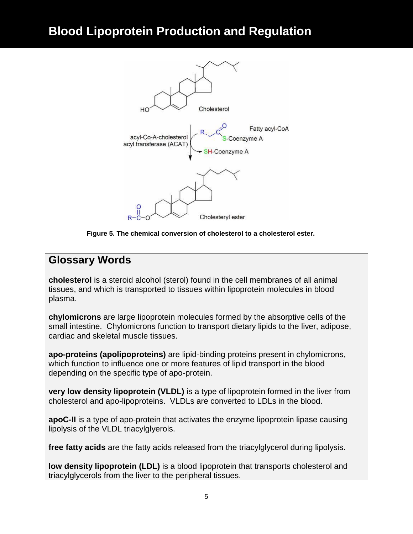

**Figure 5. The chemical conversion of cholesterol to a cholesterol ester.**

#### **Glossary Words**

**cholesterol** is a steroid alcohol (sterol) found in the cell membranes of all animal tissues, and which is transported to tissues within lipoprotein molecules in blood plasma.

**chylomicrons** are large lipoprotein molecules formed by the absorptive cells of the small intestine. Chylomicrons function to transport dietary lipids to the liver, adipose, cardiac and skeletal muscle tissues.

**apo-proteins (apolipoproteins)** are lipid-binding proteins present in chylomicrons, which function to influence one or more features of lipid transport in the blood depending on the specific type of apo-protein.

**very low density lipoprotein (VLDL)** is a type of lipoprotein formed in the liver from cholesterol and apo-lipoproteins. VLDLs are converted to LDLs in the blood.

**apoC-II** is a type of apo-protein that activates the enzyme lipoprotein lipase causing lipolysis of the VLDL triacylglyerols.

**free fatty acids** are the fatty acids released from the triacylglycerol during lipolysis.

**low density lipoprotein (LDL)** is a blood lipoprotein that transports cholesterol and triacylglycerols from the liver to the peripheral tissues.